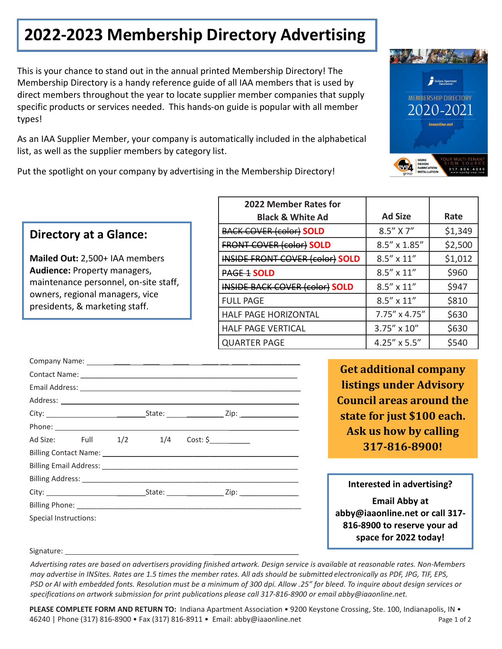## **2022-2023 Membership Directory Advertising**

This is your chance to stand out in the annual printed Membership Directory! The Membership Directory is a handy reference guide of all IAA members that is used by direct members throughout the year to locate supplier member companies that supply specific products or services needed. This hands-on guide is popular with all member types!

As an IAA Supplier Member, your company is automatically included in the alphabetical list, as well as the supplier members by category list.

Put the spotlight on your company by advertising in the Membership Directory!

## **Directory at a Glance:**

**Mailed Out:** 2,500+ IAA members **Audience:** Property managers, maintenance personnel, on-site staff, owners, regional managers, vice presidents, & marketing staff.

| 2022 Member Rates for                  |                       |         |
|----------------------------------------|-----------------------|---------|
| <b>Black &amp; White Ad</b>            | <b>Ad Size</b>        | Rate    |
| <b>BACK COVER (color) SOLD</b>         | 8.5" X 7"             | \$1,349 |
| <b>FRONT COVER (color) SOLD</b>        | $8.5'' \times 1.85''$ | \$2,500 |
| <b>INSIDE FRONT COVER (color) SOLD</b> | $8.5'' \times 11''$   | \$1,012 |
| <b>PAGE 1 SOLD</b>                     | $8.5'' \times 11''$   | \$960   |
| <b>INSIDE BACK COVER (color) SOLD</b>  | $8.5'' \times 11''$   | \$947   |
| <b>FULL PAGE</b>                       | $8.5'' \times 11''$   | \$810   |
| <b>HALF PAGE HORIZONTAL</b>            | 7.75" x 4.75"         | \$630   |
| <b>HALF PAGE VERTICAL</b>              | 3.75" x 10"           | \$630   |
| <b>QUARTER PAGE</b>                    | 4.25" x 5.5"          | \$540   |

| Ad Size: Full 1/2 1/4 Cost: \$ |  |  |  |  |
|--------------------------------|--|--|--|--|
|                                |  |  |  |  |
|                                |  |  |  |  |
|                                |  |  |  |  |
|                                |  |  |  |  |
|                                |  |  |  |  |
| Special Instructions:          |  |  |  |  |
|                                |  |  |  |  |
|                                |  |  |  |  |

**Get additional company listings under Advisory Council areas around the state for just \$100 each. Ask us how by calling 317-816-8900!**

**Interested in advertising?**

**Email Abby at abby@iaaonline.net or call 317- 816-8900 to reserve your ad space for 2022 today!**

Signature:

*Advertising rates are based on advertisers providing finished artwork. Design service is available at reasonable rates. Non-Members may advertise in INSites. Rates are 1.5 times the member rates. All ads should be submitted electronically as PDF, JPG, TIF, EPS, PSD or AI with embedded fonts. Resolution must be a minimum of 300 dpi. Allow .25" for bleed. To inquire about design services or specifications on artwork submission for print publications please call 317-816-8900 or email abby@iaaonline.net.*

**PLEASE COMPLETE FORM AND RETURN TO:** Indiana Apartment Association • 9200 Keystone Crossing, Ste. 100, Indianapolis, IN • 46240 | Phone (317) 816-8900 • Fax (317) 816-8911 • Email: [abby@iaaonline.net](mailto:chelsea@iaaonline.net) Page 1 of 2